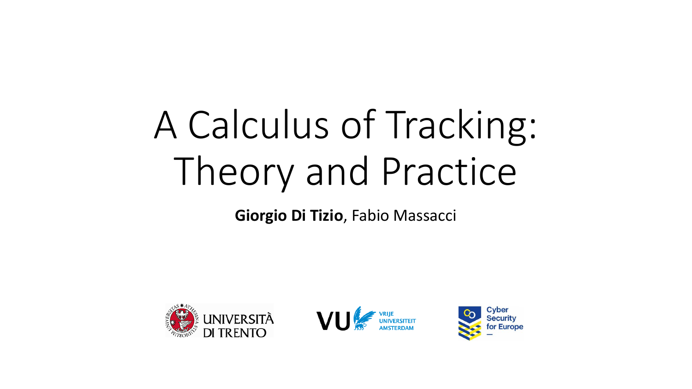# A Calculus of Tracking: Theory and Practice

**Giorgio Di Tizio**, Fabio Massacci





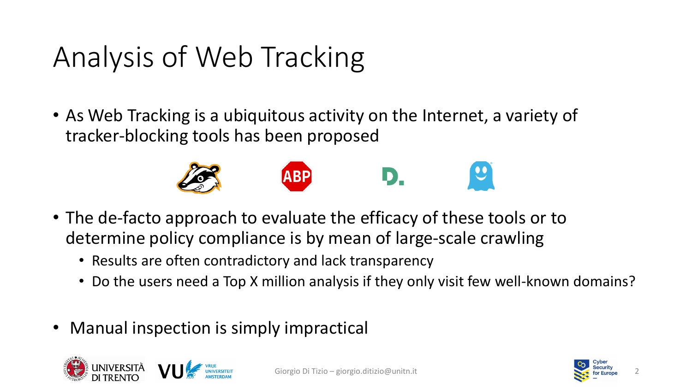### Analysis of Web Tracking

• As Web Tracking is a ubiquitous activity on the Internet, a variety of tracker-blocking tools has been proposed



- The de-facto approach to evaluate the efficacy of these tools or to determine policy compliance is by mean of large-scale crawling
	- Results are often contradictory and lack transparency
	- Do the users need a Top X million analysis if they only visit few well-known domains?
- Manual inspection is simply impractical



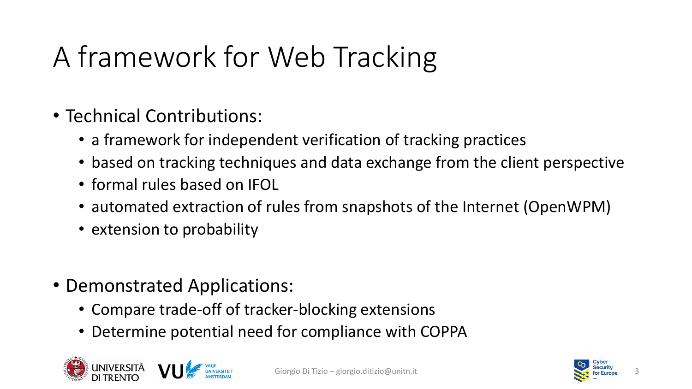# A framework for Web Tracking

- Technical Contributions:
	- a framework for independent verification of tracking practices
	- based on tracking techniques and data exchange from the client perspective
	- formal rules based on IFOL
	- automated extraction of rules from snapshots of the Internet (OpenWPM)
	- extension to probability
- Demonstrated Applications:
	- Compare trade-off of tracker-blocking extensions
	- Determine potential need for compliance with COPPA



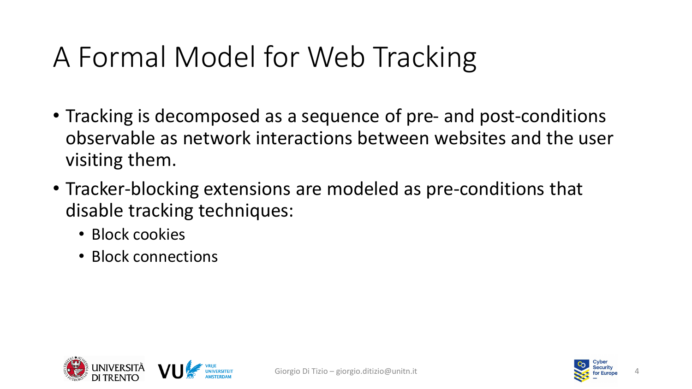### A Formal Model for Web Tracking

- Tracking is decomposed as a sequence of pre- and post-conditions observable as network interactions between websites and the user visiting them.
- Tracker-blocking extensions are modeled as pre-conditions that disable tracking techniques:
	- Block cookies
	- Block connections



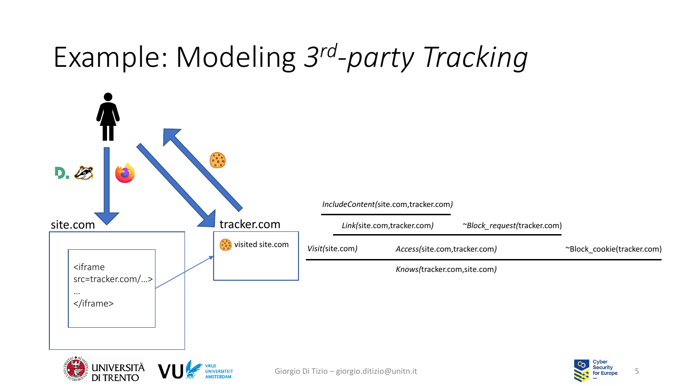### Example: Modeling *3 rd -party Tracking*



**DI TRENTO** 

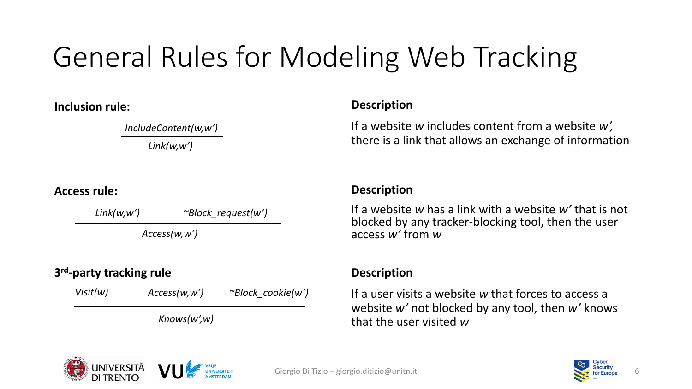# General Rules for Modeling Web Tracking

**Inclusion rule:**

*IncludeContent(w,w') Link(w,w')*

#### **Access rule:**

*Link(w,w') ~Block\_request(w')*

*Access(w,w')*

#### **3 rd -party tracking rule**

| Visit(w) | Access(w, w') | $\sim$ Block cookie(w') |
|----------|---------------|-------------------------|
|          | Knows(w', w)  |                         |

#### **Description**

If a website *w* includes content from a website *w',*  there is a link that allows an exchange of information

#### **Description**

If a website *w* has a link with a website *w'* that is not blocked by any tracker-blocking tool, then the user access *w'* from *w*

#### **Description**

If a user visits a website *w* that forces to access a website *w'* not blocked by any tool, then *w'* knows that the user visited *w*



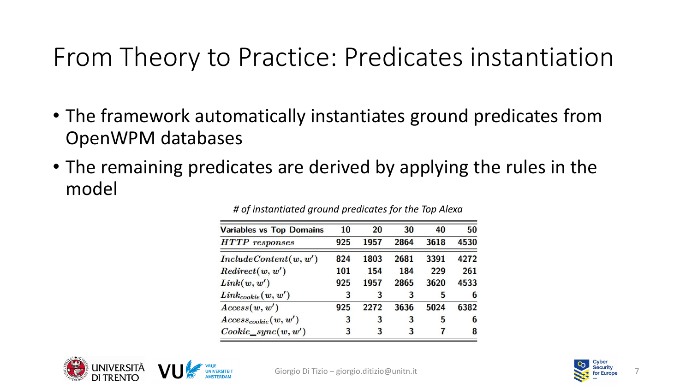### From Theory to Practice: Predicates instantiation

- The framework automatically instantiates ground predicates from OpenWPM databases
- The remaining predicates are derived by applying the rules in the model

| <b>Variables vs Top Domains</b> | 10  | 20   | 30   | 40   | 50   |
|---------------------------------|-----|------|------|------|------|
| $HTTP$ responses                | 925 | 1957 | 2864 | 3618 | 4530 |
| Include Content(w, w')          | 824 | 1803 | 2681 | 3391 | 4272 |
| Redirect(w, w')                 | 101 | 154  | 184  | 229  | 261  |
| Link(w, w')                     | 925 | 1957 | 2865 | 3620 | 4533 |
| $Link_{cookie}(w,w^{\prime})$   | 3   | 3    | 3    | 5    | 6    |
| Access(w, w')                   | 925 | 2272 | 3636 | 5024 | 6382 |
| $Access_{cookie}(w, w')$        | 3   | 3    | 3    | 5    | 6    |
| $Cookie\_sync(w,w')$            | 3   | 3    | 3    | 7    | 8    |

#### *# of instantiated ground predicates for the Top Alexa*



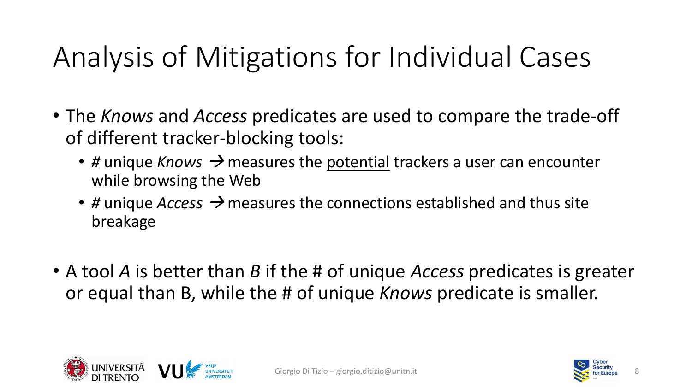### Analysis of Mitigations for Individual Cases

- The *Knows* and *Access* predicates are used to compare the trade-off of different tracker-blocking tools:
	- # unique *Knows* → measures the potential trackers a user can encounter while browsing the Web
	- *#* unique *Access* <sup>→</sup> measures the connections established and thus site breakage
- A tool *A* is better than *B* if the # of unique *Access* predicates is greater or equal than B, while the # of unique *Knows* predicate is smaller.



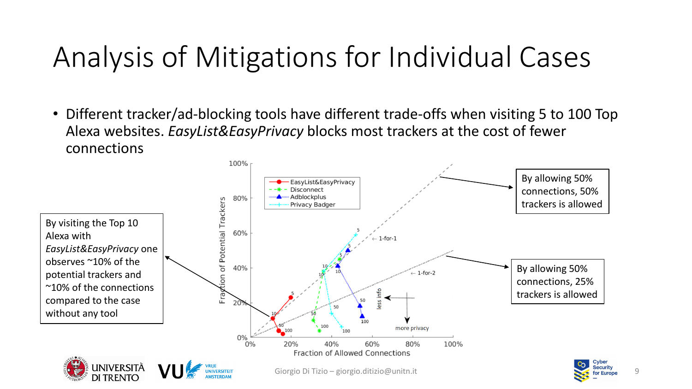### Analysis of Mitigations for Individual Cases

• Different tracker/ad-blocking tools have different trade-offs when visiting 5 to 100 Top Alexa websites. *EasyList&EasyPrivacy* blocks most trackers at the cost of fewer connections

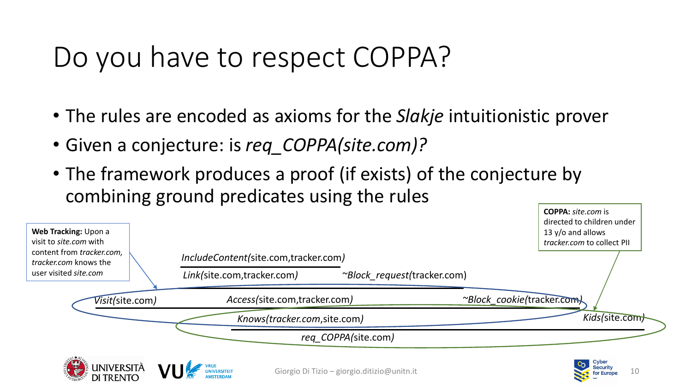### Do you have to respect COPPA?

- The rules are encoded as axioms for the *Slakje* intuitionistic prover
- Given a conjecture: is *req\_COPPA(site.com)?*
- The framework produces a proof (if exists) of the conjecture by combining ground predicates using the rules